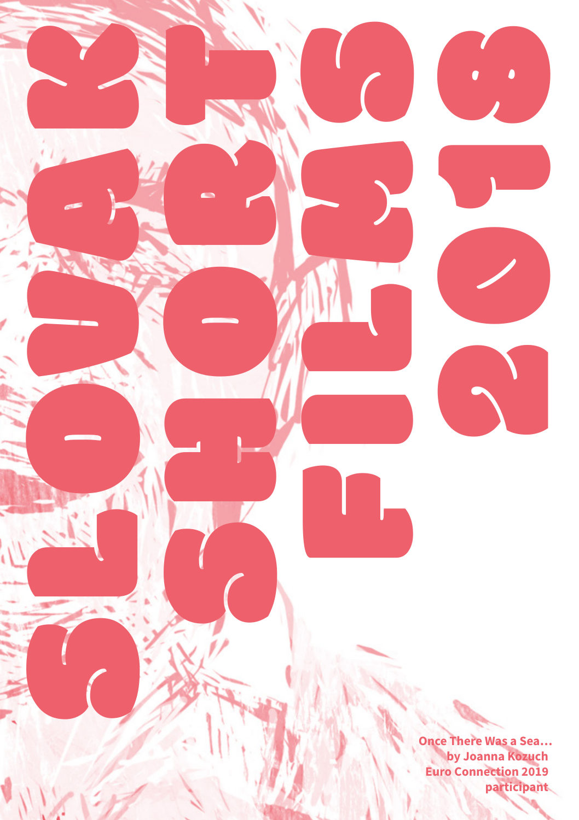**Once There Was a Sea… by Joanna Kozuch Euro Connection 2019 participant**

2019

SLOVEN REGISTER

SHORT CALL

FILMS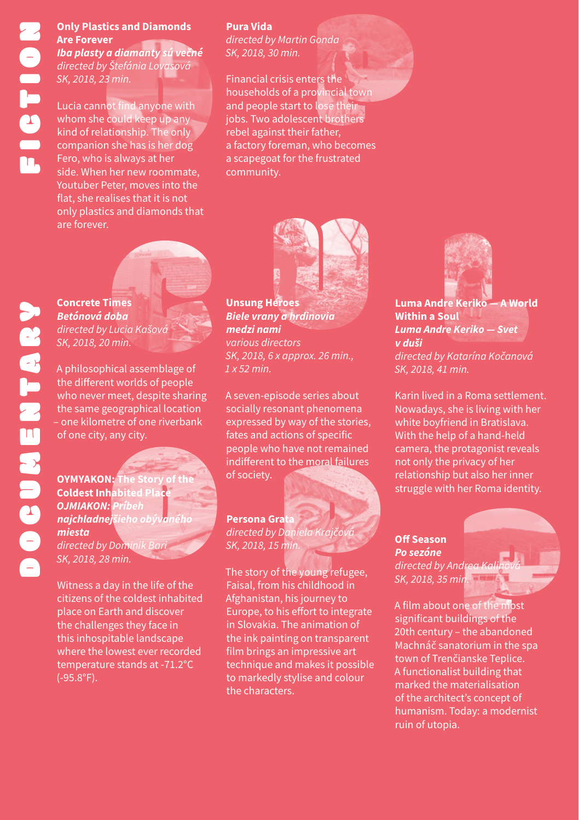# **Only Plastics and Diamonds Are Forever**

*Iba plasty a diamanty sú večné directed by Štefánia Lovasová SK, 2018, 23 min.*

Lucia cannot find anyone with whom she could keep up any kind of relationship. The only companion she has is her dog Fero, who is always at her side. When her new roommate, Youtuber Peter, moves into the flat, she realises that it is not only plastics and diamonds that are forever.

#### **Pura Vida**

*directed by Martin Gonda SK, 2018, 30 min.*

Financial crisis enters the households of a provincial town and people start to lose their jobs. Two adolescent brothers rebel against their father, a factory foreman, who becomes a scapegoat for the frustrated community.





*directed by Lucia Kašová SK, 2018, 20 min.*

A philosophical assemblage of the different worlds of people who never meet, despite sharing the same geographical location – one kilometre of one riverbank of one city, any city.

**OYMYAKON: The Story of the CONTER STORY OF SOCIETY. Coldest Inhabited Place** *OJMIAKON: Príbeh najchladnejšieho obývaného miesta directed by Dominik Bari SK, 2018, 28 min.*

Witness a day in the life of the citizens of the coldest inhabited place on Earth and discover the challenges they face in this inhospitable landscape where the lowest ever recorded temperature stands at -71.2°C (-95.8°F).

**Unsung Heroes** *Biele vrany a hrdinovia medzi nami various directors SK, 2018, 6 x approx. 26 min., 1 x 52 min.*

A seven-episode series about socially resonant phenomena expressed by way of the stories, fates and actions of specific people who have not remained indifferent to the moral failures

**Persona Grat** *directed by Daniela Krajčová SK, 2018, 15 min.*

The story of the young refugee, Faisal, from his childhood in Afghanistan, his journey to Europe, to his effort to integrate in Slovakia. The animation of the ink painting on transparent film brings an impressive art technique and makes it possible to markedly stylise and colour the characters.



**Luma Andre Keriko — A World Within a Soul**  *Luma Andre Keriko — Svet v duši directed by Katarína Kočanová SK, 2018, 41 min.*

Karin lived in a Roma settlement. Nowadays, she is living with her white boyfriend in Bratislava. With the help of a hand-held camera, the protagonist reveals not only the privacy of her relationship but also her inner struggle with her Roma identity.

**Off Season**  *Po sezóne*  directed by Andre *SK, 2018, 35 min.*

A film about one of the most significant buildings of the 20th century – the abandoned Machnáč sanatorium in the spa town of Trenčianske Teplice. A functionalist building that marked the materialisation of the architect's concept of humanism. Today: a modernist ruin of utopia.

# DOCUMENTARY DOCUMENTARY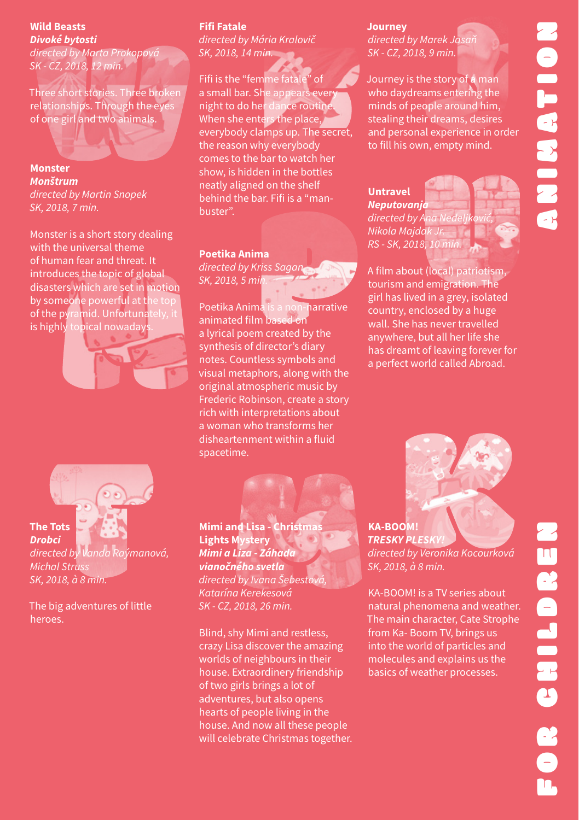#### **Wild Beasts**  *Divoké bytosti*

*directed by Marta Prokopová SK - CZ, 2018, 12 min.*

Three short stories. Three broken relationships. Through the eyes of one girl and two animals.

#### **Monster**  *Monštrum directed by Martin Snopek SK, 2018, 7 min.*

Monster is a short story dealing with the universal theme of human fear and threat. It introduces the topic of global disasters which are set in motion by someone powerful at the top of the pyramid. Unfortunately, it is highly topical nowaday



**The Tots**  *Drobci*

*directed by Vanda Raýmanová, Michal Struss SK, 2018, à 8 min.*

The big adventures of little heroes.

### **Fifi Fatale**

*directed by Mária Kralovič SK, 2018, 14 min.*

Fifi is the "femme fatale" of a small bar. She appears ever night to do her dance routine. When she enters the place, everybody clamps up. The secret, the reason why everybody comes to the bar to watch her show, is hidden in the bottles neatly aligned on the shelf behind the bar. Fifi is a "manbuster".

#### **Poetika Anima**

*directed by Kriss Sagan SK, 2018, 5 min.*

Poetika Anima is a non-narrative animated film based on a lyrical poem created by the synthesis of director's diary notes. Countless symbols and visual metaphors, along with the original atmospheric music by Frederic Robinson, create a story rich with interpretations about a woman who transforms her disheartenment within a fluid spacetime.

# **Journey**

*directed by Marek Jasaň SK - CZ, 2018, 9 min.*

Journey is the story of a man who daydreams entering the minds of people around him, stealing their dreams, desires and personal experience in order to fill his own, empty mind.

#### **Untravel** *Neputovanja directed by Ana Nedeljković, Nikola Majdak Jr.*

*RS - SK, 2018, 10 min.* 



A film about (local) patriotism, tourism and emigration. The girl has lived in a grey, isolated country, enclosed by a huge wall. She has never travelled anywhere, but all her life she has dreamt of leaving forever for a perfect world called Abroad.



**Mimi and Lisa - Christmas Lights Mystery** *Mimi a Liza - Záhada vianočného svetla directed by Ivana Šebestová, Katarína Kerekesová SK - CZ, 2018, 26 min.*

Blind, shy Mimi and restless, crazy Lisa discover the amazing worlds of neighbours in their house. Extraordinery friendship of two girls brings a lot of adventures, but also opens hearts of people living in the house. And now all these people will celebrate Christmas together. **KA-BOOM!** *TRESKY PLESKY! directed by Veronika Kocourková SK, 2018, à 8 min.*

KA-BOOM! is a TV series about natural phenomena and weather. The main character, Cate Strophe from Ka- Boom TV, brings us into the world of particles and molecules and explains us the basics of weather processes.